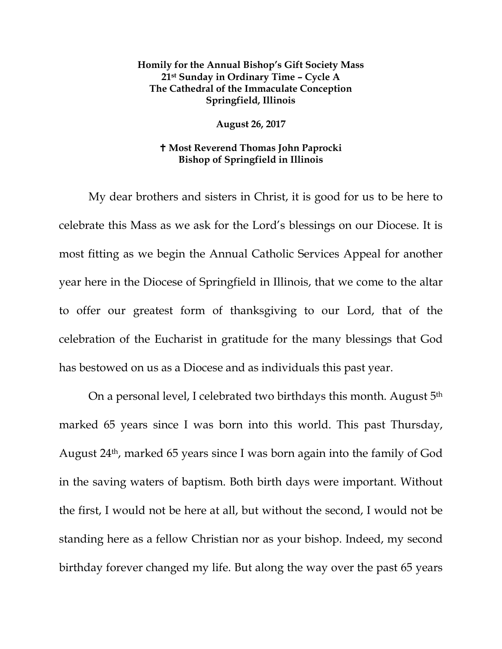## **Homily for the Annual Bishop's Gift Society Mass 21st Sunday in Ordinary Time – Cycle A The Cathedral of the Immaculate Conception Springfield, Illinois**

**August 26, 2017**

## **Most Reverend Thomas John Paprocki Bishop of Springfield in Illinois**

My dear brothers and sisters in Christ, it is good for us to be here to celebrate this Mass as we ask for the Lord's blessings on our Diocese. It is most fitting as we begin the Annual Catholic Services Appeal for another year here in the Diocese of Springfield in Illinois, that we come to the altar to offer our greatest form of thanksgiving to our Lord, that of the celebration of the Eucharist in gratitude for the many blessings that God has bestowed on us as a Diocese and as individuals this past year.

On a personal level, I celebrated two birthdays this month. August 5<sup>th</sup> marked 65 years since I was born into this world. This past Thursday, August 24th, marked 65 years since I was born again into the family of God in the saving waters of baptism. Both birth days were important. Without the first, I would not be here at all, but without the second, I would not be standing here as a fellow Christian nor as your bishop. Indeed, my second birthday forever changed my life. But along the way over the past 65 years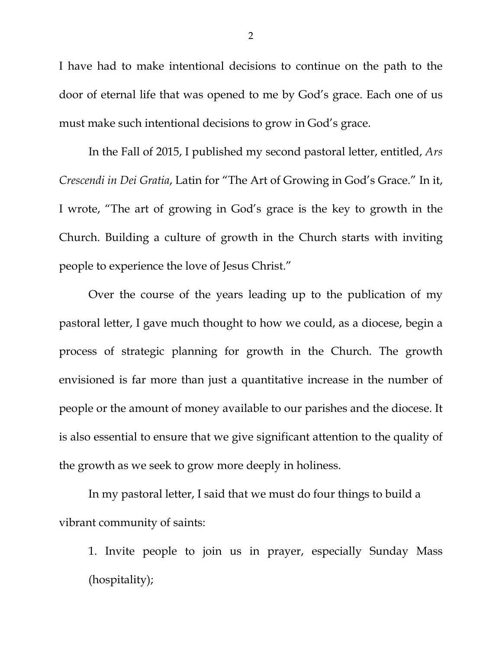I have had to make intentional decisions to continue on the path to the door of eternal life that was opened to me by God's grace. Each one of us must make such intentional decisions to grow in God's grace.

In the Fall of 2015, I published my second pastoral letter, entitled, *Ars Crescendi in Dei Gratia*, Latin for "The Art of Growing in God's Grace." In it, I wrote, "The art of growing in God's grace is the key to growth in the Church. Building a culture of growth in the Church starts with inviting people to experience the love of Jesus Christ."

Over the course of the years leading up to the publication of my pastoral letter, I gave much thought to how we could, as a diocese, begin a process of strategic planning for growth in the Church. The growth envisioned is far more than just a quantitative increase in the number of people or the amount of money available to our parishes and the diocese. It is also essential to ensure that we give significant attention to the quality of the growth as we seek to grow more deeply in holiness.

In my pastoral letter, I said that we must do four things to build a vibrant community of saints:

1. Invite people to join us in prayer, especially Sunday Mass (hospitality);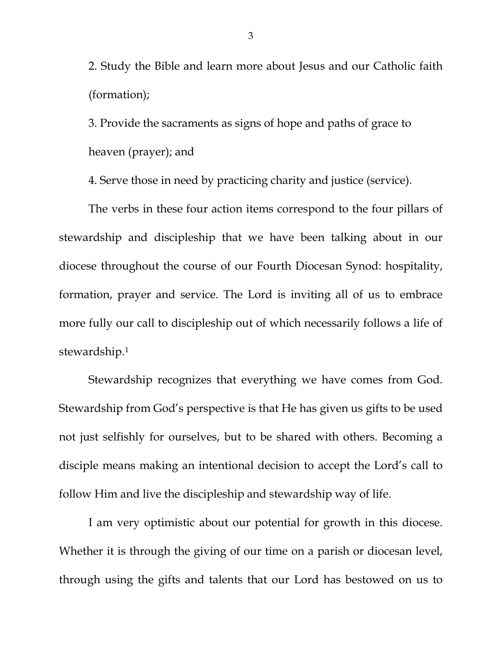2. Study the Bible and learn more about Jesus and our Catholic faith (formation);

3. Provide the sacraments as signs of hope and paths of grace to heaven (prayer); and

4. Serve those in need by practicing charity and justice (service).

The verbs in these four action items correspond to the four pillars of stewardship and discipleship that we have been talking about in our diocese throughout the course of our Fourth Diocesan Synod: hospitality, formation, prayer and service. The Lord is inviting all of us to embrace more fully our call to discipleship out of which necessarily follows a life of stewardship.[1](#page-5-0)

Stewardship recognizes that everything we have comes from God. Stewardship from God's perspective is that He has given us gifts to be used not just selfishly for ourselves, but to be shared with others. Becoming a disciple means making an intentional decision to accept the Lord's call to follow Him and live the discipleship and stewardship way of life.

I am very optimistic about our potential for growth in this diocese. Whether it is through the giving of our time on a parish or diocesan level, through using the gifts and talents that our Lord has bestowed on us to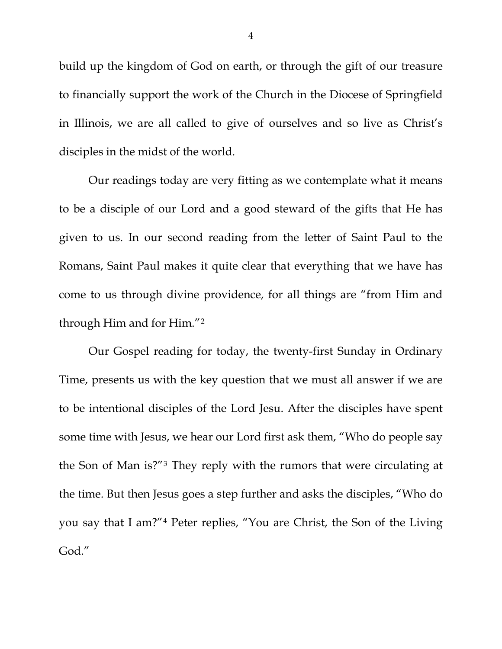build up the kingdom of God on earth, or through the gift of our treasure to financially support the work of the Church in the Diocese of Springfield in Illinois, we are all called to give of ourselves and so live as Christ's disciples in the midst of the world.

Our readings today are very fitting as we contemplate what it means to be a disciple of our Lord and a good steward of the gifts that He has given to us. In our second reading from the letter of Saint Paul to the Romans, Saint Paul makes it quite clear that everything that we have has come to us through divine providence, for all things are "from Him and through Him and for Him."[2](#page-5-1)

Our Gospel reading for today, the twenty-first Sunday in Ordinary Time, presents us with the key question that we must all answer if we are to be intentional disciples of the Lord Jesu. After the disciples have spent some time with Jesus, we hear our Lord first ask them, "Who do people say the Son of Man is?"[3](#page-5-2) They reply with the rumors that were circulating at the time. But then Jesus goes a step further and asks the disciples, "Who do you say that I am?"[4](#page-5-3) Peter replies, "You are Christ, the Son of the Living God."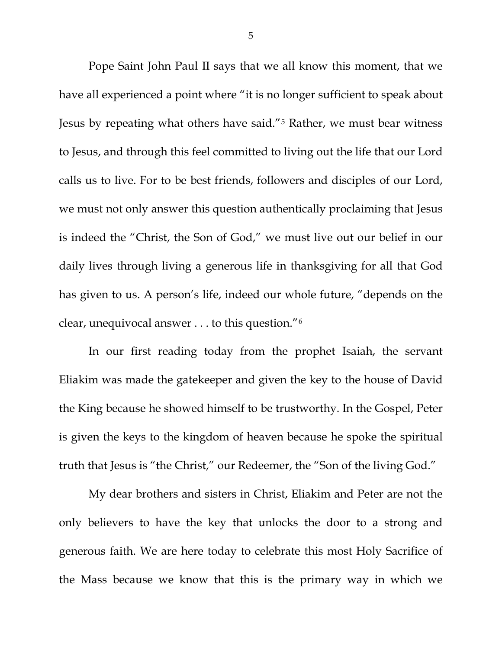Pope Saint John Paul II says that we all know this moment, that we have all experienced a point where "it is no longer sufficient to speak about Jesus by repeating what others have said."[5](#page-5-4) Rather, we must bear witness to Jesus, and through this feel committed to living out the life that our Lord calls us to live. For to be best friends, followers and disciples of our Lord, we must not only answer this question authentically proclaiming that Jesus is indeed the "Christ, the Son of God," we must live out our belief in our daily lives through living a generous life in thanksgiving for all that God has given to us. A person's life, indeed our whole future, "depends on the clear, unequivocal answer . . . to this question."[6](#page-5-5)

In our first reading today from the prophet Isaiah, the servant Eliakim was made the gatekeeper and given the key to the house of David the King because he showed himself to be trustworthy. In the Gospel, Peter is given the keys to the kingdom of heaven because he spoke the spiritual truth that Jesus is "the Christ," our Redeemer, the "Son of the living God."

My dear brothers and sisters in Christ, Eliakim and Peter are not the only believers to have the key that unlocks the door to a strong and generous faith. We are here today to celebrate this most Holy Sacrifice of the Mass because we know that this is the primary way in which we